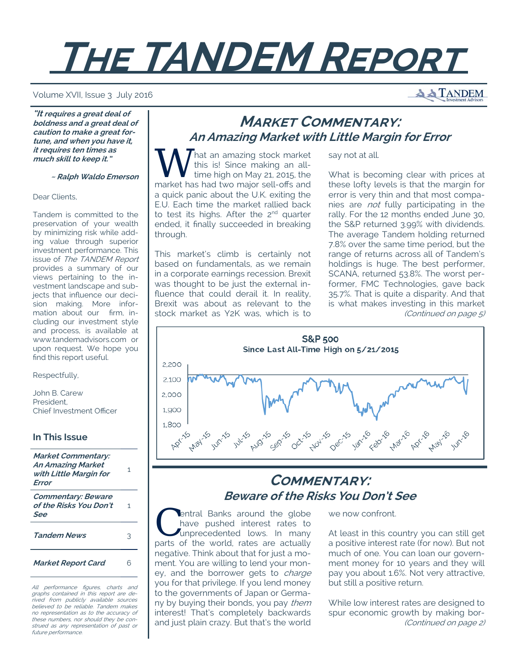# **THE TANDEM REPORT**

#### Volume XVII, Issue 3 July 2016

**"It requires a great deal of boldness and a great deal of caution to make a great fortune, and when you have it, it requires ten times as much skill to keep it."** 

 **~ Ralph Waldo Emerson**

#### Dear Clients,

Tandem is committed to the preservation of your wealth by minimizing risk while adding value through superior investment performance. This issue of The TANDEM Report provides a summary of our views pertaining to the investment landscape and subjects that influence our decision making. More information about our firm, including our investment style and process, is available at www.tandemadvisors.com or upon request. We hope you find this report useful.

Respectfully,

John B. Carew President, Chief Investment Officer

## **In This Issue**

**Market Commentary: An Amazing Market with Little Margin for Error** 1 **Commentary: Beware of the Risks You Don't See** 1 **Tandem News** 3

**Market Report Card** 6

All performance figures, charts and graphs contained in this report are derived from publicly available sources believed to be reliable. Tandem makes no representation as to the accuracy of these numbers, nor should they be construed as any representation of past or future performance.

# **MARKET COMMENTARY: An Amazing Market with Little Margin for Error**

say not at all.

hat an amazing stock market this is! Since making an alltime high on May 21, 2015, the market has had two major sell-offs and a quick panic about the U.K. exiting the E.U. Each time the market rallied back to test its highs. After the 2<sup>nd</sup> quarter ended, it finally succeeded in breaking through.

This market's climb is certainly not based on fundamentals, as we remain in a corporate earnings recession. Brexit was thought to be just the external influence that could derail it. In reality, Brexit was about as relevant to the stock market as Y2K was, which is to What is becoming clear with prices at these lofty levels is that the margin for error is very thin and that most companies are not fully participating in the rally. For the 12 months ended June 30, the S&P returned 3.99% with dividends. The average Tandem holding returned 7.8% over the same time period, but the range of returns across all of Tandem's holdings is huge. The best performer, SCANA, returned 53.8%. The worst performer, FMC Technologies, gave back 35.7%. That is quite a disparity. And that is what makes investing in this market (Continued on page 5)



# **COMMENTARY: Beware of the Risks You Don't See**

entral Banks around the globe have pushed interest rates to unprecedented lows. In many parts of the world, rates are actually negative. Think about that for just a moment. You are willing to lend your money, and the borrower gets to *charge* you for that privilege. If you lend money to the governments of Japan or Germany by buying their bonds, you pay them interest! That's completely backwards and just plain crazy. But that's the world we now confront.

At least in this country you can still get a positive interest rate (for now). But not much of one. You can loan our government money for 10 years and they will pay you about 1.6%. Not very attractive, but still a positive return.

While low interest rates are designed to spur economic growth by making bor- (Continued on page 2)

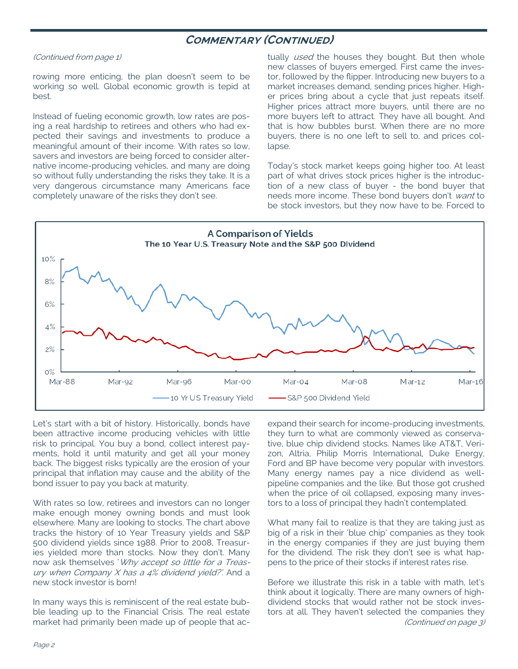## **COMMENTARY (CONTINUED)**

#### (Continued from page 1)

rowing more enticing, the plan doesn't seem to be working so well. Global economic growth is tepid at best.

Instead of fueling economic growth, low rates are posing a real hardship to retirees and others who had expected their savings and investments to produce a meaningful amount of their income. With rates so low, savers and investors are being forced to consider alternative income-producing vehicles, and many are doing so without fully understanding the risks they take. It is a very dangerous circumstance many Americans face completely unaware of the risks they don't see.

tually *used* the houses they bought. But then whole new classes of buyers emerged. First came the investor, followed by the flipper. Introducing new buyers to a market increases demand, sending prices higher. Higher prices bring about a cycle that just repeats itself. Higher prices attract more buyers, until there are no more buyers left to attract. They have all bought. And that is how bubbles burst. When there are no more buyers, there is no one left to sell to, and prices collapse.

Today's stock market keeps going higher too. At least part of what drives stock prices higher is the introduction of a new class of buyer - the bond buyer that needs more income. These bond buyers don't want to be stock investors, but they now have to be. Forced to



Let's start with a bit of history. Historically, bonds have been attractive income producing vehicles with little risk to principal. You buy a bond, collect interest payments, hold it until maturity and get all your money back. The biggest risks typically are the erosion of your principal that inflation may cause and the ability of the bond issuer to pay you back at maturity.

With rates so low, retirees and investors can no longer make enough money owning bonds and must look elsewhere. Many are looking to stocks. The chart above tracks the history of 10 Year Treasury yields and S&P 500 dividend yields since 1988. Prior to 2008, Treasuries yielded more than stocks. Now they don't. Many now ask themselves 'Why accept so little for a Treasury when Company X has a 4% dividend yield?'. And a new stock investor is born!

In many ways this is reminiscent of the real estate bubble leading up to the Financial Crisis. The real estate market had primarily been made up of people that acexpand their search for income-producing investments, they turn to what are commonly viewed as conservative, blue chip dividend stocks. Names like AT&T, Verizon, Altria, Philip Morris International, Duke Energy, Ford and BP have become very popular with investors. Many energy names pay a nice dividend as wellpipeline companies and the like. But those got crushed when the price of oil collapsed, exposing many investors to a loss of principal they hadn't contemplated.

What many fail to realize is that they are taking just as big of a risk in their 'blue chip' companies as they took in the energy companies if they are just buying them for the dividend. The risk they don't see is what happens to the price of their stocks if interest rates rise.

Before we illustrate this risk in a table with math, let's think about it logically. There are many owners of highdividend stocks that would rather not be stock investors at all. They haven't selected the companies they (Continued on page 3)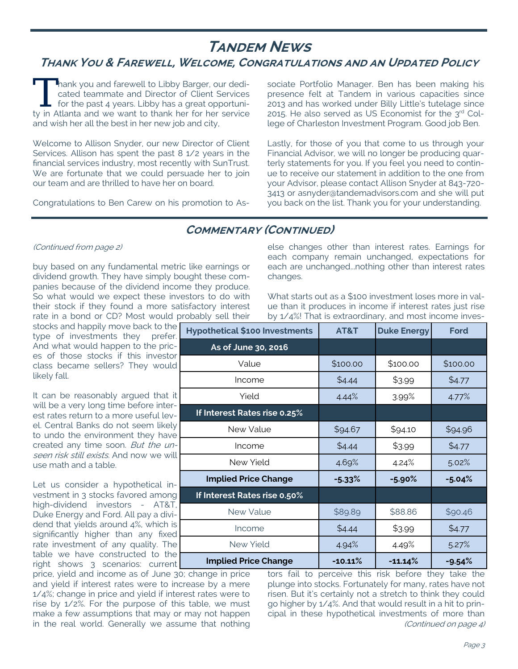# **TANDEM NEWS**

# **THANK YOU & FAREWELL, WELCOME, CONGRATULATIONS AND AN UPDATED POLICY**

Thank you and farewell to Libby Barger, our dedicated teammate and Director of Client Services for the past 4 years. Libby has a great opportunity in Atlanta and we want to thank her for her service and wish her all the best in her new job and city,

Welcome to Allison Snyder, our new Director of Client Services. Allison has spent the past 8 1/2 years in the financial services industry, most recently with SunTrust. We are fortunate that we could persuade her to join our team and are thrilled to have her on board.

Congratulations to Ben Carew on his promotion to As-

sociate Portfolio Manager. Ben has been making his presence felt at Tandem in various capacities since 2013 and has worked under Billy Little's tutelage since 2015. He also served as US Economist for the  $3<sup>rd</sup>$  College of Charleston Investment Program. Good job Ben.

Lastly, for those of you that come to us through your Financial Advisor, we will no longer be producing quarterly statements for you. If you feel you need to continue to receive our statement in addition to the one from your Advisor, please contact Allison Snyder at 843-720- 3413 or asnyder@tandemadvisors.com and she will put you back on the list. Thank you for your understanding.

## **COMMENTARY (CONTINUED)**

## (Continued from page 2)

buy based on any fundamental metric like earnings or dividend growth. They have simply bought these companies because of the dividend income they produce. So what would we expect these investors to do with their stock if they found a more satisfactory interest rate in a bond or CD? Most would probably sell their

stocks and happily move back to the type of investments they prefer. And what would happen to the prices of those stocks if this investor class became sellers? They would likely fall.

It can be reasonably argued that it will be a very long time before interest rates return to a more useful level. Central Banks do not seem likely to undo the environment they have created any time soon. But the unseen risk still exists. And now we will use math and a table.

Let us consider a hypothetical investment in 3 stocks favored among high-dividend investors - AT&T, Duke Energy and Ford. All pay a dividend that yields around 4%, which is significantly higher than any fixed rate investment of any quality. The table we have constructed to the right shows 3 scenarios: current

price, yield and income as of June 30; change in price and yield if interest rates were to increase by a mere 1/4%; change in price and yield if interest rates were to rise by 1/2%. For the purpose of this table, we must make a few assumptions that may or may not happen in the real world. Generally we assume that nothing else changes other than interest rates. Earnings for each company remain unchanged, expectations for each are unchanged...nothing other than interest rates changes.

What starts out as a \$100 investment loses more in value than it produces in income if interest rates just rise by 1/4%! That is extraordinary, and most income inves-

| <b>Hypothetical \$100 Investments</b> | AT&T      | <b>Duke Energy</b>   | <b>Ford</b> |  |  |
|---------------------------------------|-----------|----------------------|-------------|--|--|
| As of June 30, 2016                   |           |                      |             |  |  |
| Value                                 | \$100.00  | \$100.00<br>\$100.00 |             |  |  |
| Income                                | \$4.44    | \$3.99               | \$4.77      |  |  |
| Yield                                 | 4.44%     | 3.99%                | 4.77%       |  |  |
| If Interest Rates rise 0.25%          |           |                      |             |  |  |
| New Value                             | \$94.67   | \$94.10              | \$94.96     |  |  |
| Income                                | \$4.44    | \$3.99               | \$4.77      |  |  |
| New Yield                             | 4.69%     | 4.24%                | 5.02%       |  |  |
| <b>Implied Price Change</b>           | $-5.33%$  | $-5.90\%$            | $-5.04%$    |  |  |
| If Interest Rates rise 0.50%          |           |                      |             |  |  |
| New Value                             | \$89.89   | \$88.86              | \$90.46     |  |  |
| Income                                | \$4.44    | \$3.99               | \$4.77      |  |  |
| New Yield                             | 4.94%     | 4.49%                | 5.27%       |  |  |
| <b>Implied Price Change</b>           | $-10.11%$ | $-11.14%$            | $-9.54%$    |  |  |

tors fail to perceive this risk before they take the plunge into stocks. Fortunately for many, rates have not risen. But it's certainly not a stretch to think they could go higher by 1/4%. And that would result in a hit to principal in these hypothetical investments of more than (Continued on page 4)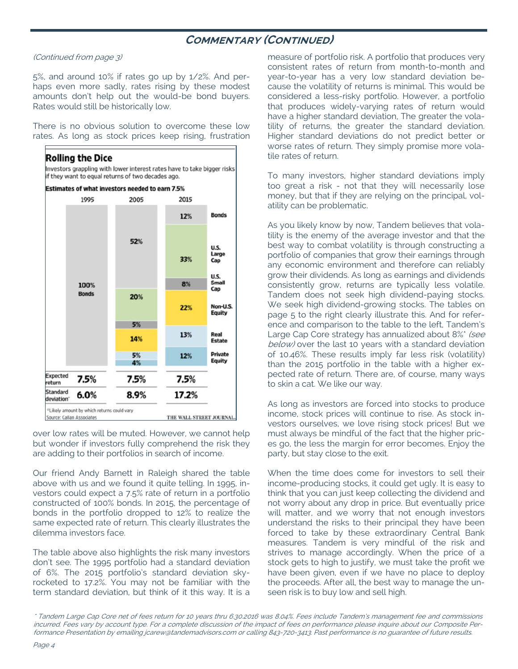## **COMMENTARY (CONTINUED)**

(Continued from page 3)

5%, and around 10% if rates go up by 1/2%. And perhaps even more sadly, rates rising by these modest amounts don't help out the would-be bond buyers. Rates would still be historically low.

There is no obvious solution to overcome these low rates. As long as stock prices keep rising, frustration



over low rates will be muted. However, we cannot help but wonder if investors fully comprehend the risk they are adding to their portfolios in search of income.

Our friend Andy Barnett in Raleigh shared the table above with us and we found it quite telling. In 1995, investors could expect a 7.5% rate of return in a portfolio constructed of 100% bonds. In 2015, the percentage of bonds in the portfolio dropped to 12% to realize the same expected rate of return. This clearly illustrates the dilemma investors face.

The table above also highlights the risk many investors don't see. The 1995 portfolio had a standard deviation of 6%. The 2015 portfolio's standard deviation skyrocketed to 17.2%. You may not be familiar with the term standard deviation, but think of it this way. It is a measure of portfolio risk. A portfolio that produces very consistent rates of return from month-to-month and year-to-year has a very low standard deviation because the volatility of returns is minimal. This would be considered a less-risky portfolio. However, a portfolio that produces widely-varying rates of return would have a higher standard deviation, The greater the volatility of returns, the greater the standard deviation. Higher standard deviations do not predict better or worse rates of return. They simply promise more volatile rates of return.

To many investors, higher standard deviations imply too great a risk - not that they will necessarily lose money, but that if they are relying on the principal, volatility can be problematic.

As you likely know by now, Tandem believes that volatility is the enemy of the average investor and that the best way to combat volatility is through constructing a portfolio of companies that grow their earnings through any economic environment and therefore can reliably grow their dividends. As long as earnings and dividends consistently grow, returns are typically less volatile. Tandem does not seek high dividend-paying stocks. We seek high dividend-growing stocks. The tables on page 5 to the right clearly illustrate this. And for reference and comparison to the table to the left, Tandem's Large Cap Core strategy has annualized about 8%\* (see below) over the last 10 years with a standard deviation of 10.46%. These results imply far less risk (volatility) than the 2015 portfolio in the table with a higher expected rate of return. There are, of course, many ways to skin a cat. We like our way.

As long as investors are forced into stocks to produce income, stock prices will continue to rise. As stock investors ourselves, we love rising stock prices! But we must always be mindful of the fact that the higher prices go, the less the margin for error becomes. Enjoy the party, but stay close to the exit.

When the time does come for investors to sell their income-producing stocks, it could get ugly. It is easy to think that you can just keep collecting the dividend and not worry about any drop in price. But eventually price will matter, and we worry that not enough investors understand the risks to their principal they have been forced to take by these extraordinary Central Bank measures. Tandem is very mindful of the risk and strives to manage accordingly. When the price of a stock gets to high to justify, we must take the profit we have been given, even if we have no place to deploy the proceeds. After all, the best way to manage the unseen risk is to buy low and sell high.

\* Tandem Large Cap Core net of fees return for 10 years thru 6.30.2016 was 8.04%. Fees include Tandem's management fee and commissions incurred. Fees vary by account type. For a complete discussion of the impact of fees on performance please inquire about our Composite Performance Presentation by emailing jcarew@tandemadvisors.com or calling 843-720-3413. Past performance is no guarantee of future results.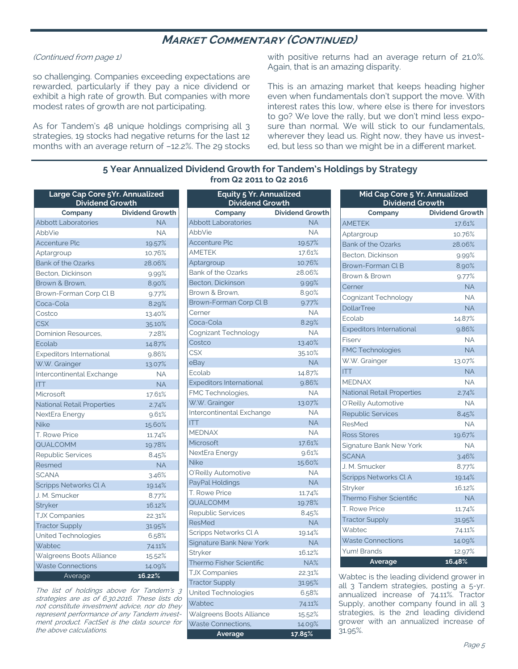## **MARKET COMMENTARY (CONTINUED)**

### (Continued from page 1)

so challenging. Companies exceeding expectations are rewarded, particularly if they pay a nice dividend or exhibit a high rate of growth. But companies with more modest rates of growth are not participating.

As for Tandem's 48 unique holdings comprising all 3 strategies, 19 stocks had negative returns for the last 12 months with an average return of –12.2%. The 29 stocks with positive returns had an average return of 21.0%. Again, that is an amazing disparity.

This is an amazing market that keeps heading higher even when fundamentals don't support the move. With interest rates this low, where else is there for investors to go? We love the rally, but we don't mind less exposure than normal. We will stick to our fundamentals, wherever they lead us. Right now, they have us invested, but less so than we might be in a different market.

## **5 Year Annualized Dividend Growth for Tandem's Holdings by Strategy from Q2 2011 to Q2 2016**

| Large Cap Core 5Yr. Annualized<br><b>Dividend Growth</b> |                        |  |  |  |
|----------------------------------------------------------|------------------------|--|--|--|
| Company                                                  | <b>Dividend Growth</b> |  |  |  |
| <b>Abbott Laboratories</b>                               | <b>NA</b>              |  |  |  |
| AbbVie                                                   | <b>NA</b>              |  |  |  |
| Accenture Plc                                            | 19.57%                 |  |  |  |
| Aptargroup                                               | 10.76%                 |  |  |  |
| <b>Bank of the Ozarks</b>                                | 28.06%                 |  |  |  |
| Becton, Dickinson                                        | 9.99%                  |  |  |  |
| Brown & Brown.                                           | 8.90%                  |  |  |  |
| Brown-Forman Corp CLB                                    | 9.77%                  |  |  |  |
| Coca-Cola                                                | 8.29%                  |  |  |  |
| Costco                                                   | 13.40%                 |  |  |  |
| <b>CSX</b>                                               | 35.10%                 |  |  |  |
| Dominion Resources,                                      | 7.28%                  |  |  |  |
| Ecolab                                                   | 14.87%                 |  |  |  |
| <b>Expeditors International</b>                          | 9.86%                  |  |  |  |
| W.W. Grainger                                            | 13.07%                 |  |  |  |
| Intercontinental Exchange                                | <b>NA</b>              |  |  |  |
| <b>ITT</b>                                               | <b>NA</b>              |  |  |  |
| Microsoft                                                | 17.61%                 |  |  |  |
| <b>National Retail Properties</b>                        | 2.74%                  |  |  |  |
| NextEra Energy                                           | 9.61%                  |  |  |  |
| <b>Nike</b>                                              | 15.60%                 |  |  |  |
| T. Rowe Price                                            | 11.74%                 |  |  |  |
| <b>QUALCOMM</b>                                          | 19.78%                 |  |  |  |
| <b>Republic Services</b>                                 | 8.45%                  |  |  |  |
| Resmed                                                   | <b>NA</b>              |  |  |  |
| <b>SCANA</b>                                             | 3.46%                  |  |  |  |
| Scripps Networks Cl A                                    | 19.14%                 |  |  |  |
| J. M. Smucker                                            | 8.77%                  |  |  |  |
| Stryker                                                  | 16.12%                 |  |  |  |
| <b>TJX Companies</b>                                     | 22.31%                 |  |  |  |
| <b>Tractor Supply</b>                                    | 31.95%                 |  |  |  |
| United Technologies                                      | 6.58%                  |  |  |  |
| Wabtec                                                   | 74.11%                 |  |  |  |
| Walgreens Boots Alliance                                 | 15.52%                 |  |  |  |
| <b>Waste Connections</b>                                 | 14.09%                 |  |  |  |
| Average                                                  | 16.22%                 |  |  |  |

The list of holdings above for Tandem's 3 strategies are as of 6.30.2016. These lists do not constitute investment advice, nor do they represent performance of any Tandem investment product. FactSet is the data source for the above calculations.

| <b>Equity 5 Yr. Annualized</b><br><b>Dividend Growth</b> |                        |  |  |  |
|----------------------------------------------------------|------------------------|--|--|--|
| Company                                                  | <b>Dividend Growth</b> |  |  |  |
| <b>Abbott Laboratories</b>                               | <b>NA</b>              |  |  |  |
| AbbVie                                                   | <b>NA</b>              |  |  |  |
| <b>Accenture Plc</b>                                     | 19.57%                 |  |  |  |
| <b>AMETEK</b>                                            | 17.61%                 |  |  |  |
| Aptargroup                                               | 10.76%                 |  |  |  |
| <b>Bank of the Ozarks</b>                                | 28.06%                 |  |  |  |
| Becton, Dickinson                                        | 9.99%                  |  |  |  |
| Brown & Brown.                                           | 8.90%                  |  |  |  |
| Brown-Forman Corp Cl B                                   | 9.77%                  |  |  |  |
| Cerner                                                   | <b>NA</b>              |  |  |  |
| Coca-Cola                                                | 8.29%                  |  |  |  |
| Cognizant Technology                                     | <b>NA</b>              |  |  |  |
| Costco                                                   | 13.40%                 |  |  |  |
| <b>CSX</b>                                               | 35.10%                 |  |  |  |
| eBay                                                     | <b>NA</b>              |  |  |  |
| Ecolab                                                   | 14.87%                 |  |  |  |
| <b>Expeditors International</b>                          | 9.86%                  |  |  |  |
| FMC Technologies,                                        | <b>NA</b>              |  |  |  |
| W.W. Grainger                                            | 13.07%                 |  |  |  |
| Intercontinental Exchange                                | <b>NA</b>              |  |  |  |
| <b>ITT</b>                                               | <b>NA</b>              |  |  |  |
| <b>MEDNAX</b>                                            | <b>NA</b>              |  |  |  |
| Microsoft                                                | 17.61%                 |  |  |  |
| NextEra Energy                                           | 9.61%                  |  |  |  |
| <b>Nike</b>                                              | 15.60%                 |  |  |  |
| O'Reilly Automotive                                      | <b>NA</b>              |  |  |  |
| PayPal Holdings                                          | <b>NA</b>              |  |  |  |
| <b>T. Rowe Price</b>                                     | 11.74%                 |  |  |  |
| QUALCOMM                                                 | 19.78%                 |  |  |  |
| <b>Republic Services</b>                                 | 8.45%                  |  |  |  |
| ResMed                                                   | <b>NA</b>              |  |  |  |
| Scripps Networks Cl A                                    | 19.14%                 |  |  |  |
| <b>Signature Bank New York</b>                           | <b>NA</b>              |  |  |  |
| Stryker                                                  | 16.12%                 |  |  |  |
| Thermo Fisher Scientific                                 | NA%                    |  |  |  |
| <b>TJX Companies</b>                                     | 22.31%                 |  |  |  |
| <b>Tractor Supply</b>                                    | 31.95%                 |  |  |  |
| United Technologies                                      | 6.58%                  |  |  |  |
| Wabtec                                                   | 74.11%                 |  |  |  |
| Walgreens Boots Alliance                                 | 15.52%                 |  |  |  |
| Waste Connections,                                       | 14.09%                 |  |  |  |
| Average                                                  | 17.85%                 |  |  |  |

| Mid Cap Core 5 Yr. Annualized<br><b>Dividend Growth</b> |                        |  |  |  |
|---------------------------------------------------------|------------------------|--|--|--|
| Company                                                 | <b>Dividend Growth</b> |  |  |  |
| <b>AMETEK</b>                                           | 17.61%                 |  |  |  |
| Aptargroup                                              | 10.76%                 |  |  |  |
| <b>Bank of the Ozarks</b>                               | 28.06%                 |  |  |  |
| Becton, Dickinson                                       | 9.99%                  |  |  |  |
| Brown-Forman CLB                                        | 8.90%                  |  |  |  |
| Brown & Brown                                           | 9.77%                  |  |  |  |
| Cerner                                                  | <b>NA</b>              |  |  |  |
| Cognizant Technology                                    | <b>NA</b>              |  |  |  |
| <b>DollarTree</b>                                       | <b>NA</b>              |  |  |  |
| Ecolab                                                  | 14.87%                 |  |  |  |
| <b>Expeditors International</b>                         | 9.86%                  |  |  |  |
| Fiserv                                                  | <b>NA</b>              |  |  |  |
| <b>FMC Technologies</b>                                 | <b>NA</b>              |  |  |  |
| W.W. Grainger                                           | 13.07%                 |  |  |  |
| <b>ITT</b>                                              | <b>NA</b>              |  |  |  |
| <b>MEDNAX</b>                                           | <b>NA</b>              |  |  |  |
| National Retail Properties                              | 2.74%                  |  |  |  |
| O'Reilly Automotive                                     | <b>NA</b>              |  |  |  |
| <b>Republic Services</b>                                | 8.45%                  |  |  |  |
| ResMed                                                  | <b>NA</b>              |  |  |  |
| Ross Stores                                             | 19.67%                 |  |  |  |
| Signature Bank New York                                 | <b>NA</b>              |  |  |  |
| <b>SCANA</b>                                            | 3.46%                  |  |  |  |
| J. M. Smucker                                           | 8.77%                  |  |  |  |
| <b>Scripps Networks CLA</b>                             | 19.14%                 |  |  |  |
| Stryker                                                 | 16.12%                 |  |  |  |
| <b>Thermo Fisher Scientific</b>                         | <b>NA</b>              |  |  |  |
| T. Rowe Price                                           | 11.74%                 |  |  |  |
| <b>Tractor Supply</b>                                   | 31.95%                 |  |  |  |
| Wabtec                                                  | 74.11%                 |  |  |  |
| <b>Waste Connections</b>                                | 14.09%                 |  |  |  |
| Yum! Brands                                             | 12.97%                 |  |  |  |
| Average                                                 | 16.48%                 |  |  |  |

Wabtec is the leading dividend grower in all 3 Tandem strategies, posting a 5-yr. annualized increase of 74.11%. Tractor Supply, another company found in all 3 strategies, is the 2nd leading dividend grower with an annualized increase of 31.95%.